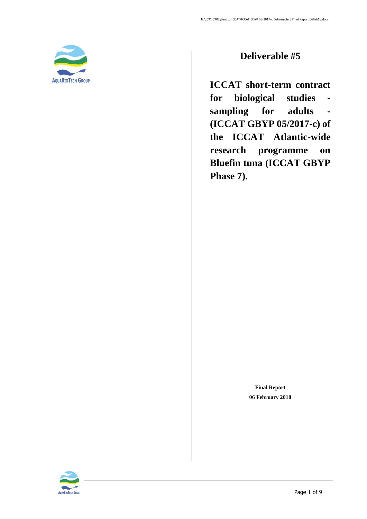<span id="page-0-0"></span>

### **Deliverable #5**

**ICCAT short-term contract for biological studies sampling for adults - (ICCAT GBYP 05/2017-c) of the ICCAT Atlantic-wide research programme on Bluefin tuna (ICCAT GBYP Phase 7).**

> **Final Report 06 February 2018**

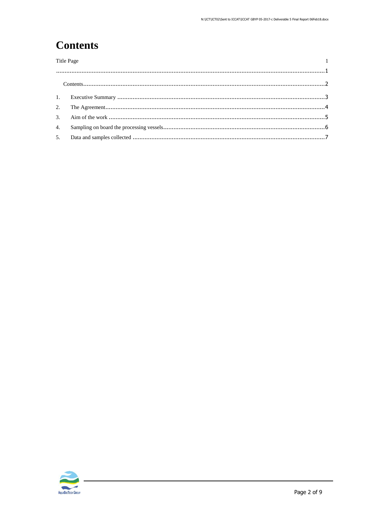# <span id="page-1-0"></span>**Contents**

| <b>Title Page</b> |  |  |  |  |
|-------------------|--|--|--|--|
|                   |  |  |  |  |
|                   |  |  |  |  |
|                   |  |  |  |  |
|                   |  |  |  |  |
| $\mathcal{R}$     |  |  |  |  |
| $\overline{4}$ .  |  |  |  |  |
|                   |  |  |  |  |
|                   |  |  |  |  |

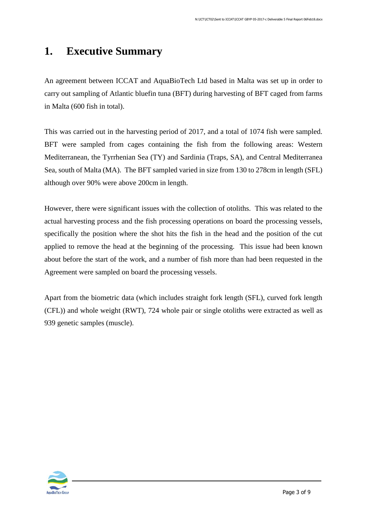### <span id="page-2-0"></span>**1. Executive Summary**

An agreement between ICCAT and AquaBioTech Ltd based in Malta was set up in order to carry out sampling of Atlantic bluefin tuna (BFT) during harvesting of BFT caged from farms in Malta (600 fish in total).

This was carried out in the harvesting period of 2017, and a total of 1074 fish were sampled. BFT were sampled from cages containing the fish from the following areas: Western Mediterranean, the Tyrrhenian Sea (TY) and Sardinia (Traps, SA), and Central Mediterranea Sea, south of Malta (MA). The BFT sampled varied in size from 130 to 278cm in length (SFL) although over 90% were above 200cm in length.

However, there were significant issues with the collection of otoliths. This was related to the actual harvesting process and the fish processing operations on board the processing vessels, specifically the position where the shot hits the fish in the head and the position of the cut applied to remove the head at the beginning of the processing. This issue had been known about before the start of the work, and a number of fish more than had been requested in the Agreement were sampled on board the processing vessels.

Apart from the biometric data (which includes straight fork length (SFL), curved fork length (CFL)) and whole weight (RWT), 724 whole pair or single otoliths were extracted as well as 939 genetic samples (muscle).

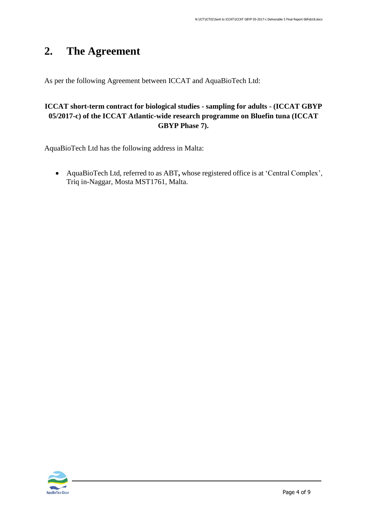# <span id="page-3-0"></span>**2. The Agreement**

As per the following Agreement between ICCAT and AquaBioTech Ltd:

#### **ICCAT short-term contract for biological studies - sampling for adults - (ICCAT GBYP 05/2017-c) of the ICCAT Atlantic-wide research programme on Bluefin tuna (ICCAT GBYP Phase 7).**

AquaBioTech Ltd has the following address in Malta:

• AquaBioTech Ltd, referred to as ABT**,** whose registered office is at 'Central Complex', Triq in-Naggar, Mosta MST1761, Malta.

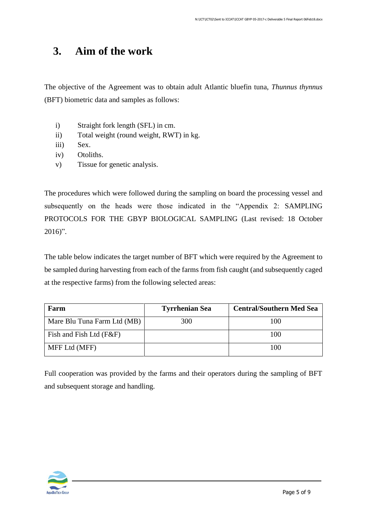### <span id="page-4-0"></span>**3. Aim of the work**

The objective of the Agreement was to obtain adult Atlantic bluefin tuna, *Thunnus thynnus* (BFT) biometric data and samples as follows:

- i) Straight fork length (SFL) in cm.
- ii) Total weight (round weight, RWT) in kg.
- iii) Sex.
- iv) Otoliths.
- v) Tissue for genetic analysis.

The procedures which were followed during the sampling on board the processing vessel and subsequently on the heads were those indicated in the "Appendix 2: SAMPLING PROTOCOLS FOR THE GBYP BIOLOGICAL SAMPLING (Last revised: 18 October 2016)".

The table below indicates the target number of BFT which were required by the Agreement to be sampled during harvesting from each of the farms from fish caught (and subsequently caged at the respective farms) from the following selected areas:

| Farm                        | <b>Tyrrhenian Sea</b> | <b>Central/Southern Med Sea</b> |
|-----------------------------|-----------------------|---------------------------------|
| Mare Blu Tuna Farm Ltd (MB) | 300                   | 100                             |
| Fish and Fish Ltd (F&F)     |                       | 100                             |
| MFF Ltd (MFF)               |                       | 100                             |

Full cooperation was provided by the farms and their operators during the sampling of BFT and subsequent storage and handling.

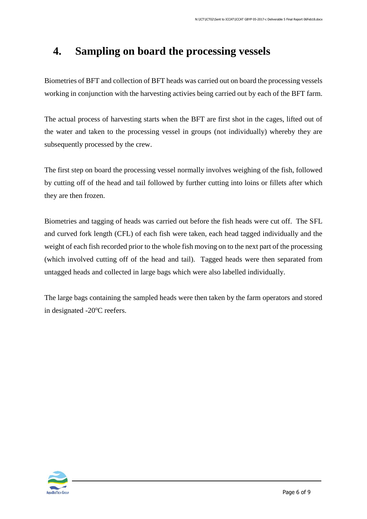### <span id="page-5-0"></span>**4. Sampling on board the processing vessels**

Biometries of BFT and collection of BFT heads was carried out on board the processing vessels working in conjunction with the harvesting activies being carried out by each of the BFT farm.

The actual process of harvesting starts when the BFT are first shot in the cages, lifted out of the water and taken to the processing vessel in groups (not individually) whereby they are subsequently processed by the crew.

The first step on board the processing vessel normally involves weighing of the fish, followed by cutting off of the head and tail followed by further cutting into loins or fillets after which they are then frozen.

Biometries and tagging of heads was carried out before the fish heads were cut off. The SFL and curved fork length (CFL) of each fish were taken, each head tagged individually and the weight of each fish recorded prior to the whole fish moving on to the next part of the processing (which involved cutting off of the head and tail). Tagged heads were then separated from untagged heads and collected in large bags which were also labelled individually.

The large bags containing the sampled heads were then taken by the farm operators and stored in designated -20°C reefers.

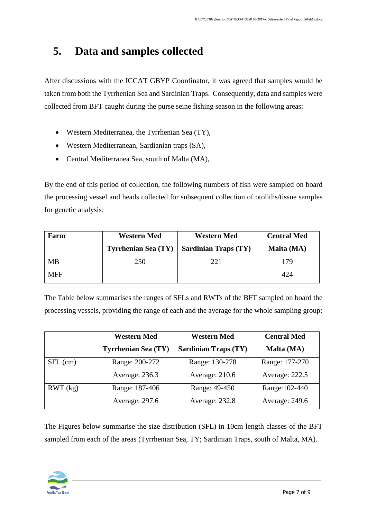## <span id="page-6-0"></span>**5. Data and samples collected**

After discussions with the ICCAT GBYP Coordinator, it was agreed that samples would be taken from both the Tyrrhenian Sea and Sardinian Traps. Consequently, data and samples were collected from BFT caught during the purse seine fishing season in the following areas:

- Western Mediterranea, the Tyrrhenian Sea (TY),
- Western Mediterranean, Sardianian traps (SA),
- Central Mediterranea Sea, south of Malta (MA),

By the end of this period of collection, the following numbers of fish were sampled on board the processing vessel and heads collected for subsequent collection of otoliths/tissue samples for genetic analysis:

| Farm       | <b>Western Med</b>         | <b>Western Med</b>          | <b>Central Med</b> |
|------------|----------------------------|-----------------------------|--------------------|
|            | <b>Tyrrhenian Sea (TY)</b> | <b>Sardinian Traps (TY)</b> | Malta (MA)         |
| <b>MB</b>  | 250                        | 221                         | 179                |
| <b>MFF</b> |                            |                             | 424                |

The Table below summarises the ranges of SFLs and RWTs of the BFT sampled on board the processing vessels, providing the range of each and the average for the whole sampling group:

|            | <b>Western Med</b>         | <b>Western Med</b>          | <b>Central Med</b> |
|------------|----------------------------|-----------------------------|--------------------|
|            | <b>Tyrrhenian Sea (TY)</b> | <b>Sardinian Traps (TY)</b> | Malta (MA)         |
| $SFL$ (cm) | Range: 200-272             | Range: 130-278              | Range: 177-270     |
|            | Average: 236.3             | Average: 210.6              | Average: 222.5     |
| RWT (kg)   | Range: 187-406             | Range: 49-450               | Range: 102-440     |
|            | Average: 297.6             | Average: 232.8              | Average: 249.6     |

The Figures below summarise the size distribution (SFL) in 10cm length classes of the BFT sampled from each of the areas (Tyrrhenian Sea, TY; Sardinian Traps, south of Malta, MA).

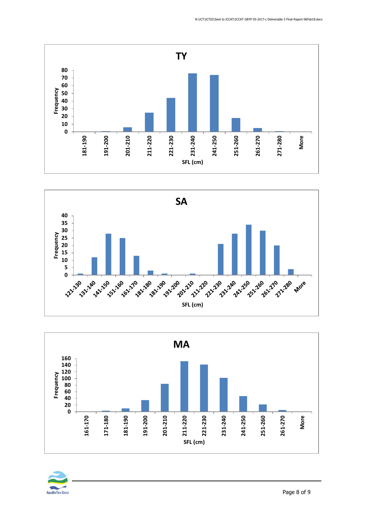